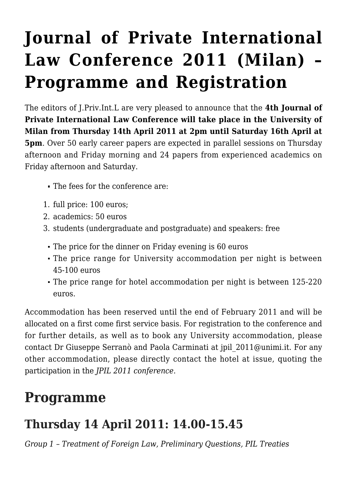# **[Journal of Private International](https://conflictoflaws.net/2010/journal-of-private-international-law-conference-2011-milan-programme-and-registration/) [Law Conference 2011 \(Milan\) –](https://conflictoflaws.net/2010/journal-of-private-international-law-conference-2011-milan-programme-and-registration/) [Programme and Registration](https://conflictoflaws.net/2010/journal-of-private-international-law-conference-2011-milan-programme-and-registration/)**

The editors of J.Priv.Int.L are very pleased to announce that the **4th Journal of Private International Law Conference will take place in the University of Milan from Thursday 14th April 2011 at 2pm until Saturday 16th April at 5pm**. Over 50 early career papers are expected in parallel sessions on Thursday afternoon and Friday morning and 24 papers from experienced academics on Friday afternoon and Saturday.

- The fees for the conference are:
- 1. full price: 100 euros;
- 2. academics: 50 euros
- 3. students (undergraduate and postgraduate) and speakers: free
	- The price for the dinner on Friday evening is 60 euros
	- The price range for University accommodation per night is between 45-100 euros
	- The price range for hotel accommodation per night is between 125-220 euros.

Accommodation has been reserved until the end of February 2011 and will be allocated on a first come first service basis. For registration to the conference and for further details, as well as to book any University accommodation, please contact Dr Giuseppe Serranò and Paola Carminati at jpil 2011@unimi.it. For any other accommodation, please directly contact the hotel at issue, quoting the participation in the *JPIL 2011 conference*.

# **Programme**

### **Thursday 14 April 2011: 14.00-15.45**

*Group 1 – Treatment of Foreign Law, Preliminary Questions, PIL Treaties*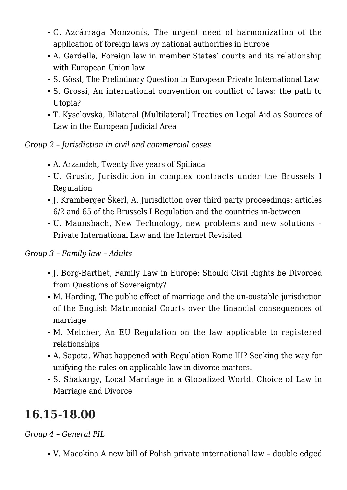- C. Azcárraga Monzonís, The urgent need of harmonization of the application of foreign laws by national authorities in Europe
- A. Gardella, Foreign law in member States' courts and its relationship with European Union law
- S. Gössl, The Preliminary Question in European Private International Law
- S. Grossi, An international convention on conflict of laws: the path to Utopia?
- T. Kyselovská, Bilateral (Multilateral) Treaties on Legal Aid as Sources of Law in the European Judicial Area

*Group 2 – Jurisdiction in civil and commercial cases*

- A. Arzandeh, Twenty five years of Spiliada
- U. Grusic, Jurisdiction in complex contracts under the Brussels I Regulation
- J. Kramberger Škerl, A. Jurisdiction over third party proceedings: articles 6/2 and 65 of the Brussels I Regulation and the countries in-between
- U. Maunsbach, New Technology, new problems and new solutions Private International Law and the Internet Revisited

#### *Group 3 – Family law – Adults*

- J. Borg-Barthet, Family Law in Europe: Should Civil Rights be Divorced from Questions of Sovereignty?
- M. Harding, The public effect of marriage and the un-oustable jurisdiction of the English Matrimonial Courts over the financial consequences of marriage
- M. Melcher, An EU Regulation on the law applicable to registered relationships
- A. Sapota, What happened with Regulation Rome III? Seeking the way for unifying the rules on applicable law in divorce matters.
- S. Shakargy, Local Marriage in a Globalized World: Choice of Law in Marriage and Divorce

#### **16.15-18.00**

*Group 4 – General PIL*

V. Macokina A new bill of Polish private international law – double edged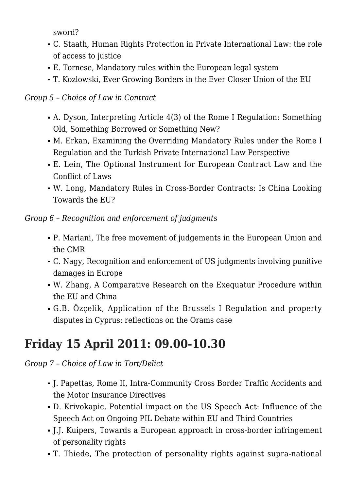sword?

- C. Staath, Human Rights Protection in Private International Law: the role of access to justice
- E. Tornese, Mandatory rules within the European legal system
- T. Kozlowski, Ever Growing Borders in the Ever Closer Union of the EU

#### *Group 5 – Choice of Law in Contract*

- A. Dyson, Interpreting Article 4(3) of the Rome I Regulation: Something Old, Something Borrowed or Something New?
- M. Erkan, Examining the Overriding Mandatory Rules under the Rome I Regulation and the Turkish Private International Law Perspective
- E. Lein, The Optional Instrument for European Contract Law and the Conflict of Laws
- W. Long, Mandatory Rules in Cross-Border Contracts: Is China Looking Towards the EU?

*Group 6 – Recognition and enforcement of judgments*

- P. Mariani, The free movement of judgements in the European Union and the CMR
- C. Nagy, Recognition and enforcement of US judgments involving punitive damages in Europe
- W. Zhang, A Comparative Research on the Exequatur Procedure within the EU and China
- G.B. Özçelik, Application of the Brussels I Regulation and property disputes in Cyprus: reflections on the Orams case

# **Friday 15 April 2011: 09.00-10.30**

*Group 7 – Choice of Law in Tort/Delict*

- J. Papettas, Rome II, Intra-Community Cross Border Traffic Accidents and the Motor Insurance Directives
- D. Krivokapic, Potential impact on the US Speech Act: Influence of the Speech Act on Ongoing PIL Debate within EU and Third Countries
- I.J. Kuipers, Towards a European approach in cross-border infringement of personality rights
- T. Thiede, The protection of personality rights against supra-national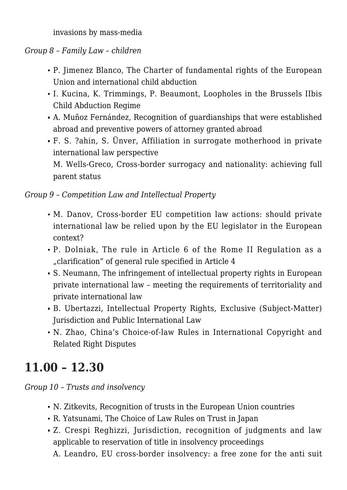invasions by mass-media

#### *Group 8 – Family Law – children*

- P. Jimenez Blanco, The Charter of fundamental rights of the European Union and international child abduction
- I. Kucina, K. Trimmings, P. Beaumont, Loopholes in the Brussels IIbis Child Abduction Regime
- A. Muñoz Fernández, Recognition of guardianships that were established abroad and preventive powers of attorney granted abroad
- F. S. ?ahin, S. Ünver, Affiliation in surrogate motherhood in private international law perspective M. Wells-Greco, Cross-border surrogacy and nationality: achieving full parent status

#### *Group 9 – Competition Law and Intellectual Property*

- M. Danov, Cross-border EU competition law actions: should private international law be relied upon by the EU legislator in the European context?
- P. Dolniak, The rule in Article 6 of the Rome II Regulation as a "clarification" of general rule specified in Article 4
- S. Neumann, The infringement of intellectual property rights in European private international law – meeting the requirements of territoriality and private international law
- B. Ubertazzi, Intellectual Property Rights, Exclusive (Subject-Matter) Jurisdiction and Public International Law
- N. Zhao, China's Choice-of-law Rules in International Copyright and Related Right Disputes

#### **11.00 – 12.30**

*Group 10 – Trusts and insolvency*

- N. Zitkevits, Recognition of trusts in the European Union countries
- R. Yatsunami, The Choice of Law Rules on Trust in Japan
- Z. Crespi Reghizzi, Jurisdiction, recognition of judgments and law applicable to reservation of title in insolvency proceedings
	- A. Leandro, EU cross-border insolvency: a free zone for the anti suit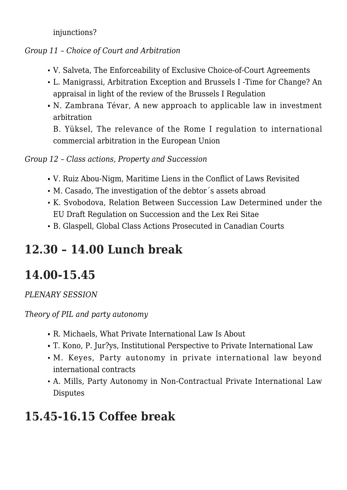injunctions?

*Group 11 – Choice of Court and Arbitration*

- V. Salveta, The Enforceability of Exclusive Choice-of-Court Agreements
- L. Manigrassi, Arbitration Exception and Brussels I -Time for Change? An appraisal in light of the review of the Brussels I Regulation
- N. Zambrana Tévar, A new approach to applicable law in investment arbitration

B. Yüksel, The relevance of the Rome I regulation to international commercial arbitration in the European Union

#### *Group 12 – Class actions, Property and Succession*

- V. Ruiz Abou-Nigm, Maritime Liens in the Conflict of Laws Revisited
- M. Casado, The investigation of the debtor´s assets abroad
- K. Svobodova, Relation Between Succession Law Determined under the EU Draft Regulation on Succession and the Lex Rei Sitae
- B. Glaspell, Global Class Actions Prosecuted in Canadian Courts

### **12.30 – 14.00 Lunch break**

### **14.00-15.45**

#### *PLENARY SESSION*

*Theory of PIL and party autonomy*

- R. Michaels, What Private International Law Is About
- T. Kono, P. Jur?ys, Institutional Perspective to Private International Law
- M. Keyes, Party autonomy in private international law beyond international contracts
- A. Mills, Party Autonomy in Non-Contractual Private International Law Disputes

### **15.45-16.15 Coffee break**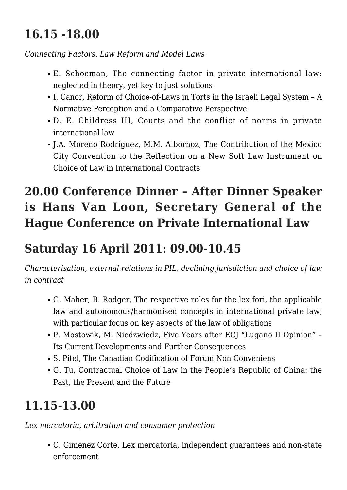### **16.15 -18.00**

*Connecting Factors, Law Reform and Model Laws*

- E. Schoeman, The connecting factor in private international law: neglected in theory, yet key to just solutions
- I. Canor, Reform of Choice-of-Laws in Torts in the Israeli Legal System A Normative Perception and a Comparative Perspective
- D. E. Childress III, Courts and the conflict of norms in private international law
- J.A. Moreno Rodríguez, M.M. Albornoz, The Contribution of the Mexico City Convention to the Reflection on a New Soft Law Instrument on Choice of Law in International Contracts

## **20.00 Conference Dinner – After Dinner Speaker is Hans Van Loon, Secretary General of the Hague Conference on Private International Law**

#### **Saturday 16 April 2011: 09.00-10.45**

*Characterisation, external relations in PIL, declining jurisdiction and choice of law in contract*

- G. Maher, B. Rodger, The respective roles for the lex fori, the applicable law and autonomous/harmonised concepts in international private law, with particular focus on key aspects of the law of obligations
- P. Mostowik, M. Niedzwiedz, Five Years after ECJ "Lugano II Opinion" Its Current Developments and Further Consequences
- S. Pitel, The Canadian Codification of Forum Non Conveniens
- G. Tu, Contractual Choice of Law in the People's Republic of China: the Past, the Present and the Future

# **11.15-13.00**

*Lex mercatoria, arbitration and consumer protection*

C. Gimenez Corte, Lex mercatoria, independent guarantees and non-state enforcement